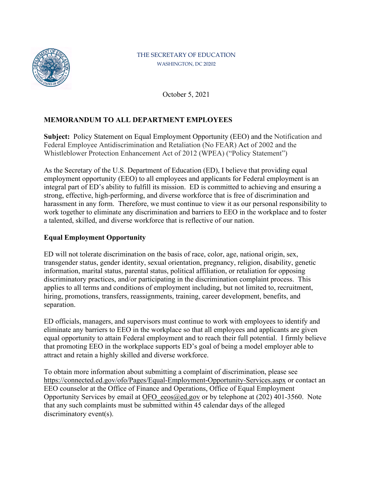

#### THE SECRETARY OF EDUCATION WASHINGTON, DC 20202

October 5, 2021

# **MEMORANDUM TO ALL DEPARTMENT EMPLOYEES**

**Subject:** Policy Statement on Equal Employment Opportunity (EEO) and the Notification and Federal Employee Antidiscrimination and Retaliation (No FEAR) Act of 2002 and the Whistleblower Protection Enhancement Act of 2012 (WPEA) ("Policy Statement")

As the Secretary of the U.S. Department of Education (ED), I believe that providing equal employment opportunity (EEO) to all employees and applicants for Federal employment is an integral part of ED's ability to fulfill its mission. ED is committed to achieving and ensuring a strong, effective, high-performing, and diverse workforce that is free of discrimination and harassment in any form. Therefore, we must continue to view it as our personal responsibility to work together to eliminate any discrimination and barriers to EEO in the workplace and to foster a talented, skilled, and diverse workforce that is reflective of our nation.

## **Equal Employment Opportunity**

ED will not tolerate discrimination on the basis of race, color, age, national origin, sex, transgender status, gender identity, sexual orientation, pregnancy, religion, disability, genetic information, marital status, parental status, political affiliation, or retaliation for opposing discriminatory practices, and/or participating in the discrimination complaint process. This applies to all terms and conditions of employment including, but not limited to, recruitment, hiring, promotions, transfers, reassignments, training, career development, benefits, and separation.

ED officials, managers, and supervisors must continue to work with employees to identify and eliminate any barriers to EEO in the workplace so that all employees and applicants are given equal opportunity to attain Federal employment and to reach their full potential. I firmly believe that promoting EEO in the workplace supports ED's goal of being a model employer able to attract and retain a highly skilled and diverse workforce.

To obtain more information about submitting a complaint of discrimination, please see <https://connected.ed.gov/ofo/Pages/Equal-Employment-Opportunity-Services.aspx>or contact an EEO counselor at the Office of Finance and Operations, Office of Equal Employment Opportunity Services by email at OFO eeos@ed.gov or by telephone at  $(202)$  401-3560. Note that any such complaints must be submitted within 45 calendar days of the alleged discriminatory event(s).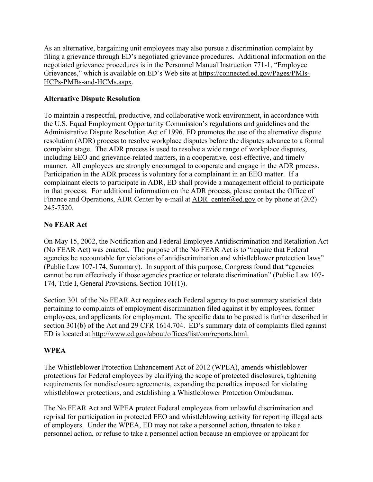As an alternative, bargaining unit employees may also pursue a discrimination complaint by filing a grievance through ED's negotiated grievance procedures. Additional information on the negotiated grievance procedures is in the Personnel Manual Instruction 771-1, "Employee Grievances," which is available on ED's Web site at [https://connected.ed.gov/Pages/PMIs-](https://connected.ed.gov/Pages/PMIs-HCPs-PMBs-and-HCMs.aspx)[HCPs-PMBs-and-HCMs.aspx.](https://connected.ed.gov/Pages/PMIs-HCPs-PMBs-and-HCMs.aspx)

## **Alternative Dispute Resolution**

To maintain a respectful, productive, and collaborative work environment, in accordance with the U.S. Equal Employment Opportunity Commission's regulations and guidelines and the Administrative Dispute Resolution Act of 1996, ED promotes the use of the alternative dispute resolution (ADR) process to resolve workplace disputes before the disputes advance to a formal complaint stage. The ADR process is used to resolve a wide range of workplace disputes, including EEO and grievance-related matters, in a cooperative, cost-effective, and timely manner. All employees are strongly encouraged to cooperate and engage in the ADR process. Participation in the ADR process is voluntary for a complainant in an EEO matter. If a complainant elects to participate in ADR, ED shall provide a management official to participate in that process. For additional information on the ADR process, please contact the Office of Finance and Operations, ADR Center by e-mail at ADR center@ed.gov or by phone at (202) 245-7520.

# **No FEAR Act**

On May 15, 2002, the Notification and Federal Employee Antidiscrimination and Retaliation Act (No FEAR Act) was enacted. The purpose of the No FEAR Act is to "require that Federal agencies be accountable for violations of antidiscrimination and whistleblower protection laws" (Public Law 107-174, Summary). In support of this purpose, Congress found that "agencies cannot be run effectively if those agencies practice or tolerate discrimination" (Public Law 107- 174, Title I, General Provisions, Section 101(1)).

Section 301 of the No FEAR Act requires each Federal agency to post summary statistical data pertaining to complaints of employment discrimination filed against it by employees, former employees, and applicants for employment. The specific data to be posted is further described in section 301(b) of the Act and 29 CFR 1614.704. ED's summary data of complaints filed against ED is located at [http://www.ed.gov/about/offices/list/om/reports.html.](http://www.ed.gov/about/offices/list/om/reports.html)

#### **WPEA**

The Whistleblower Protection Enhancement Act of 2012 (WPEA), amends whistleblower protections for Federal employees by clarifying the scope of protected disclosures, tightening requirements for nondisclosure agreements, expanding the penalties imposed for violating whistleblower protections, and establishing a Whistleblower Protection Ombudsman.

The No FEAR Act and WPEA protect Federal employees from unlawful discrimination and reprisal for participation in protected EEO and whistleblowing activity for reporting illegal acts of employers. Under the WPEA, ED may not take a personnel action, threaten to take a personnel action, or refuse to take a personnel action because an employee or applicant for